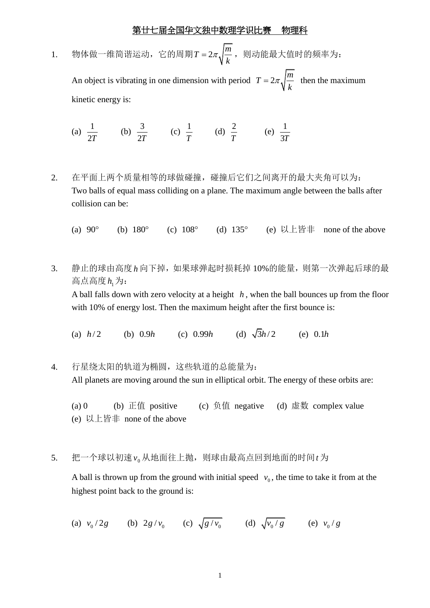1. 物体做一维简谐运动,它的周期 $T = 2\pi \sqrt{\frac{m}{2}}$ *k* =2 $\pi$ ./ $\frac{m}{2}$ ,则动能最大值时的频率为: An object is vibrating in one dimension with period  $T = 2\pi \sqrt{\frac{m}{I}}$ *k*  $t = 2\pi \sqrt{\frac{m}{t}}$  then the maximum kinetic energy is:

(a) 
$$
\frac{1}{2T}
$$
 (b)  $\frac{3}{2T}$  (c)  $\frac{1}{T}$  (d)  $\frac{2}{T}$  (e)  $\frac{1}{3T}$ 

- 2. 在平面上两个质量相等的球做碰撞,碰撞后它们之间离开的最大夹角可以为: Two balls of equal mass colliding on a plane. The maximum angle between the balls after collision can be:
	- (a)  $90^{\circ}$  (b) (b)  $180^{\circ}$ (c)  $108^{\circ}$  (d)  $135^{\circ}$ 135 (e) 以上皆非 none of the above
- 3. 静止的球由高度 *h* 向下掉,如果球弹起时损耗掉 10%的能量,则第一次弹起后球的最 高点高度h<sub>1</sub>为:

A ball falls down with zero velocity at a height *h* , when the ball bounces up from the floor with 10% of energy lost. Then the maximum height after the first bounce is:

(a)  $h/2$  (b) (b)  $0.9h$  $(c)$  0.99*h* (d)  $\sqrt{3}h/2$ 0.1*h*

4. 行星绕太阳的轨道为椭圆,这些轨道的总能量为: All planets are moving around the sun in elliptical orbit. The energy of these orbits are:

(a) 0 (b) 正值 positive (c) 负值 negative (d) 虚数 complex value (e) 以上皆非 none of the above

5. 把一个球以初速 $\mathsf{v_0}$ 从地面往上抛,则球由最高点回到地面的时间t为

A ball is thrown up from the ground with initial speed  $v_0$ , the time to take it from at the highest point back to the ground is:

(a) 
$$
v_0/2g
$$
 (b)  $2g/v_0$  (c)  $\sqrt{g/v_0}$  (d)  $\sqrt{v_0/g}$  (e)  $v_0/g$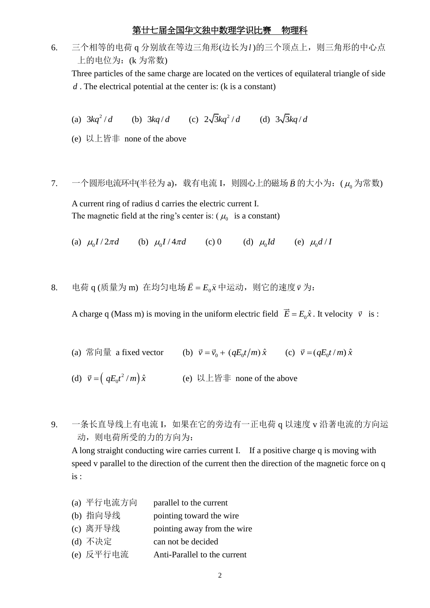6. 三个相等的电荷 q 分别放在等边三角形(边长为l)的三个顶点上, 则三角形的中心点 上的电位为:(k 为常数)

Three particles of the same charge are located on the vertices of equilateral triangle of side *d* . The electrical potential at the center is: (k is a constant)

(a) 
$$
3kq^2/d
$$
 (b)  $3kq/d$  (c)  $2\sqrt{3}kq^2/d$  (d)  $3\sqrt{3}kq/d$ 

- (e) 以上皆非 none of the above
- 7. 一个圆形电流环中(半径为 a),载有电流 I,则圆心上的磁场*B*  $\overline{a}$ 的大小为:  $(\mu_0)$ 为常数)

A current ring of radius d carries the electric current I. The magnetic field at the ring's center is:  $(\mu_0$  is a constant)

(a)  $\mu_0 I / 2\pi d$  (b)  $\mu_0 I / 4\pi d$  (c) 0 (d)  $\mu_0 Id$  (e)  $\mu_0 d / 1$ 

8. 电荷 q (质量为 m) 在均匀电场*Ē* =  $E_0\hat{x}$  $=E_0\hat{x}$ 中运动,则它的速度 $\vec{v}$  为:

A charge q (Mass m) is moving in the uniform electric field  $\vec{E} = E_0 \hat{x}$ . It velocity  $\vec{v}$  is:

(a) 常向量 a fixed vector (b)  $\vec{v} = \vec{v}_0 + (qE_0 t/m)\hat{x}$  (c)  $\vec{v} = (qE_0 t/m)\hat{x}$ 

(d)  $\vec{v} = \left( qE_0 t^2 / m \right)$  $\vec{v} = ( q E_0 t^2 / m ) \hat{x}$  (e) 以上皆非 none of the above

9. 一条长直导线上有电流 I, 如果在它的旁边有一正电荷 q 以速度 v 沿著电流的方向运 动,则电荷所受的力的方向为:

A long straight conducting wire carries current I. If a positive charge q is moving with speed v parallel to the direction of the current then the direction of the magnetic force on q is :

- (a) 平行电流方向 parallel to the current
- (b) 指向导线 pointing toward the wire
- (c) 离开导线 pointing away from the wire
- (d) 不决定 can not be decided
- (e) 反平行电流 Anti-Parallel to the current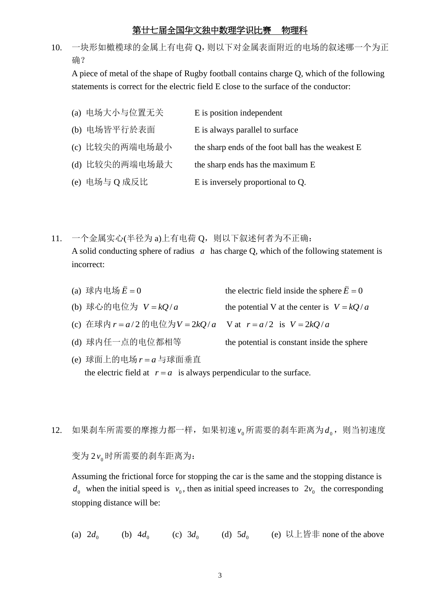10. 一块形如橄榄球的金属上有电荷 Q,则以下对金属表面附近的电场的叙述哪一个为正 确?

A piece of metal of the shape of Rugby football contains charge Q, which of the following statements is correct for the electric field E close to the surface of the conductor:

| (a) 电场大小与位置无关  | E is position independent                         |
|----------------|---------------------------------------------------|
| (b) 电场皆平行於表面   | E is always parallel to surface                   |
| (c) 比较尖的两端电场最小 | the sharp ends of the foot ball has the weakest E |
| (d) 比较尖的两端电场最大 | the sharp ends has the maximum E                  |
| (e) 电场与 Q 成反比  | E is inversely proportional to Q.                 |

- 11. 一个金属实心(半径为 a)上有电荷 Q, 则以下叙述何者为不正确: A solid conducting sphere of radius  $a$  has charge Q, which of the following statement is incorrect:
	- (a) 球内电场 $\bar{E} = 0$  $\overline{a}$ the electric field inside the sphere  $\bar{E} = 0$  $\overline{a}$
	- (b) 球心的电位为  $V = kQ/a$ the potential V at the center is  $V = kQ/a$

(c) 在球内  $r = a/2$  的电位为 $V = 2kQ/a$  V at  $r = a/2$  is  $V = 2kQ/a$ 

- (d) 球内任一点的电位都相等 the potential is constant inside the sphere
- (e) 球面上的电场  $r = a$  与球面垂直 the electric field at  $r = a$  is always perpendicular to the surface.
- 12. 如果刹车所需要的摩擦力都一样,如果初速 $v_0$ 所需要的刹车距离为 $d_0$ , 则当初速度

变为 2 v<sub>0</sub> 时所需要的刹车距离为:

Assuming the frictional force for stopping the car is the same and the stopping distance is  $d_0$  when the initial speed is  $v_0$ , then as initial speed increases to  $2v_0$  the corresponding stopping distance will be:

(a)  $2d_0$  (b)  $4d_0$  (c)  $3d_0$  (d)  $5d_0$  (e)  $\forall \perp \exists \exists \exists$  none of the above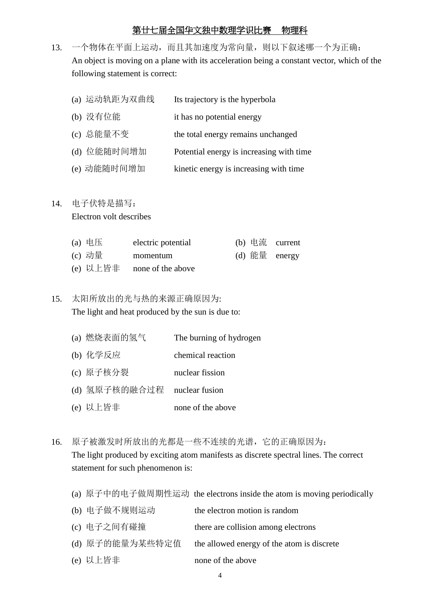13. 一个物体在平面上运动,而且其加速度为常向量,则以下叙述哪一个为正确: An object is moving on a plane with its acceleration being a constant vector, which of the following statement is correct:

| (a) 运动轨距为双曲线 | Its trajectory is the hyperbola          |
|--------------|------------------------------------------|
| (b) 没有位能     | it has no potential energy               |
| (c) 总能量不变    | the total energy remains unchanged       |
| (d) 位能随时间增加  | Potential energy is increasing with time |
|              |                                          |

(e) 动能随时间增加 kinetic energy is increasing with time

## 14. 电子伏特是描写:

Electron volt describes

| (a) 电压 | electric potential         |  | (b) 电流 current |
|--------|----------------------------|--|----------------|
| (c) 动量 | momentum                   |  | (d) 能量 energy  |
|        | (e) 以上皆非 none of the above |  |                |

# 15. 太阳所放出的光与热的来源正确原因为: The light and heat produced by the sun is due to:

- (a) 燃烧表面的氢气 The burning of hydrogen
- (b) 化学反应 chemical reaction
- (c) 原子核分裂 nuclear fission
- (d) 氢原子核的融合过程 nuclear fusion
- (e) 以上皆非 none of the above
- 16. 原子被激发时所放出的光都是一些不连续的光谱,它的正确原因为: The light produced by exciting atom manifests as discrete spectral lines. The correct statement for such phenomenon is:
	- (a) 原子中的电子做周期性运动 the electrons inside the atom is moving periodically
	- (b) 电子做不规则运动 the electron motion is random (c) 电子之间有碰撞 there are collision among electrons
	- (d) 原子的能量为某些特定值 the allowed energy of the atom is discrete
	- (e) 以上皆非 none of the above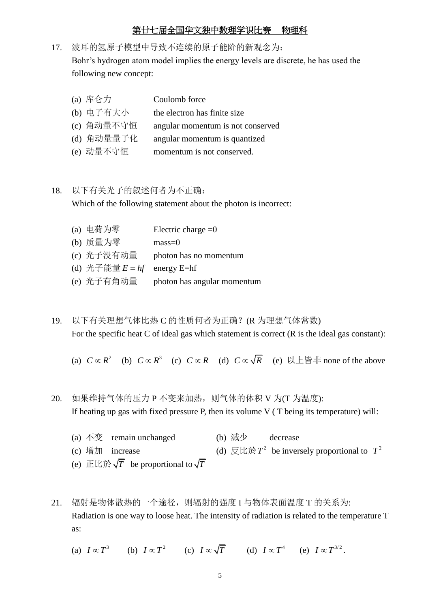17. 波耳的氢原子模型中导致不连续的原子能阶的新观念为: Bohr's hydrogen atom model implies the energy levels are discrete, he has used the following new concept:

| (a) 库仑力    | Coulomb force                     |
|------------|-----------------------------------|
| (b) 电子有大小  | the electron has finite size      |
| (c) 角动量不守恒 | angular momentum is not conserved |
| (d) 角动量量子化 | angular momentum is quantized     |
| (e) 动量不守恒  | momentum is not conserved.        |

## 18. 以下有关光子的叙述何者为不正确:

Which of the following statement about the photon is incorrect:

| (a) 电荷为零                      | Electric charge $=0$        |
|-------------------------------|-----------------------------|
| (b) 质量为零                      | $mass=0$                    |
| (c) 光子没有动量                    | photon has no momentum      |
| (d) 光子能量 $E = hf$ energy E=hf |                             |
| (e) 光子有角动量                    | photon has angular momentum |

- 19. 以下有关理想气体比热 C 的性质何者为正确?(R 为理想气体常数) For the specific heat C of ideal gas which statement is correct (R is the ideal gas constant):
	- (a)  $C \propto R^2$  (b)  $C \propto R^3$  (c)  $C \propto R$  (d)  $C \propto \sqrt{R}$  (e)  $\Box \bot$  is # none of the above
- 20. 如果维持气体的压力 P 不变来加热, 则气体的体积 V 为(T 为温度): If heating up gas with fixed pressure P, then its volume V ( T being its temperature) will:
	- (a)  $\overline{A}$   $\overline{\mathfrak{B}}$  remain unchanged (b) 減少 decrease (c) 增加  $increase$  $T^2$  be inversely proportional to  $T^2$ (e)  $\mathbb{H} \mathbb{H} \mathbb{N} \sqrt{T}$  be proportional to  $\sqrt{T}$
- 21. 辐射是物体散热的一个途径,则辐射的强度 I 与物体表面温度 T 的关系为: Radiation is one way to loose heat. The intensity of radiation is related to the temperature T as:
	- (a)  $I \propto T^3$  (b)  $I \propto T^2$  (c)  $I \propto \sqrt{T}$  (d)  $I \propto T^4$  (e)  $I \propto T^{3/2}$ .